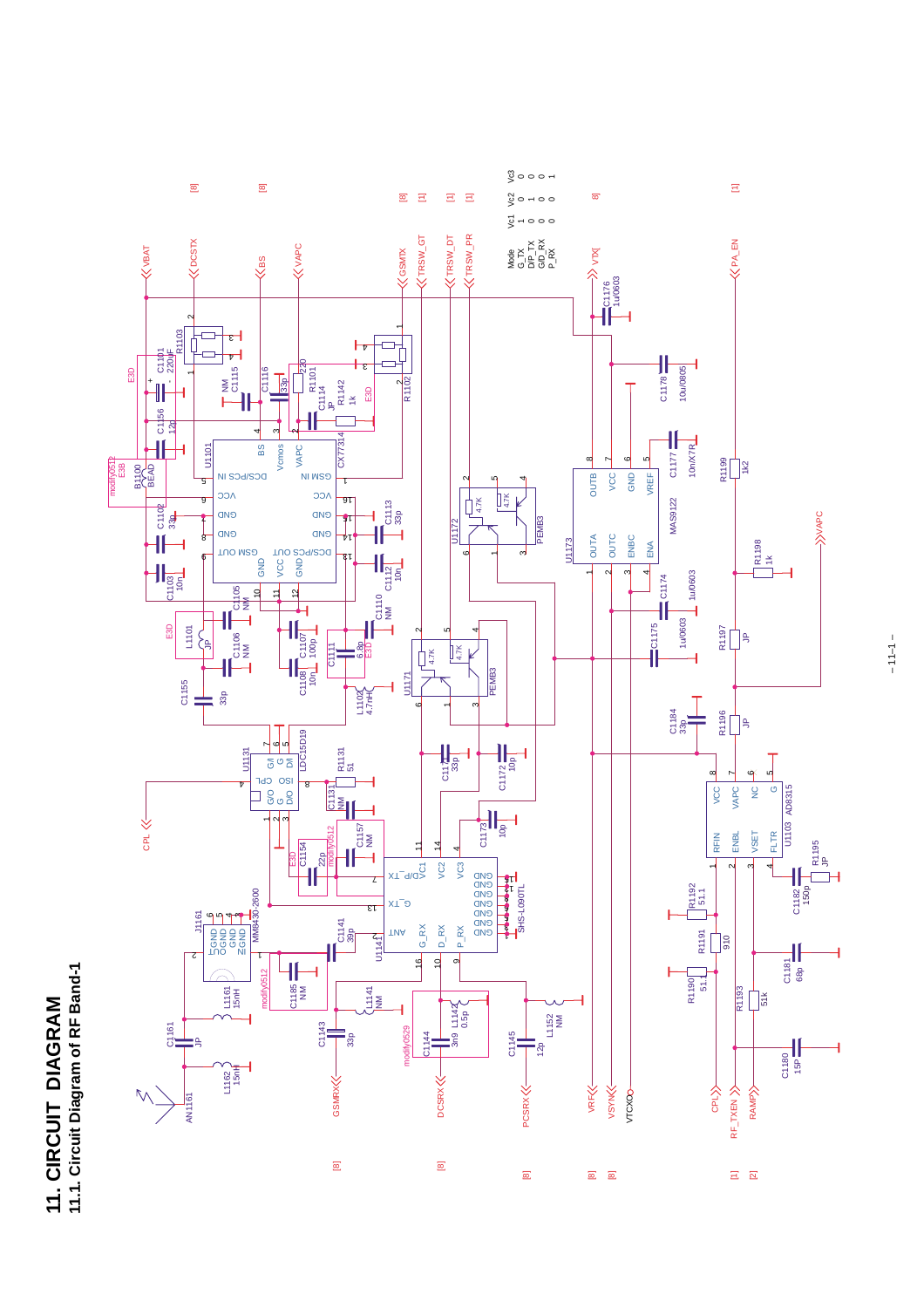



 $-11-1$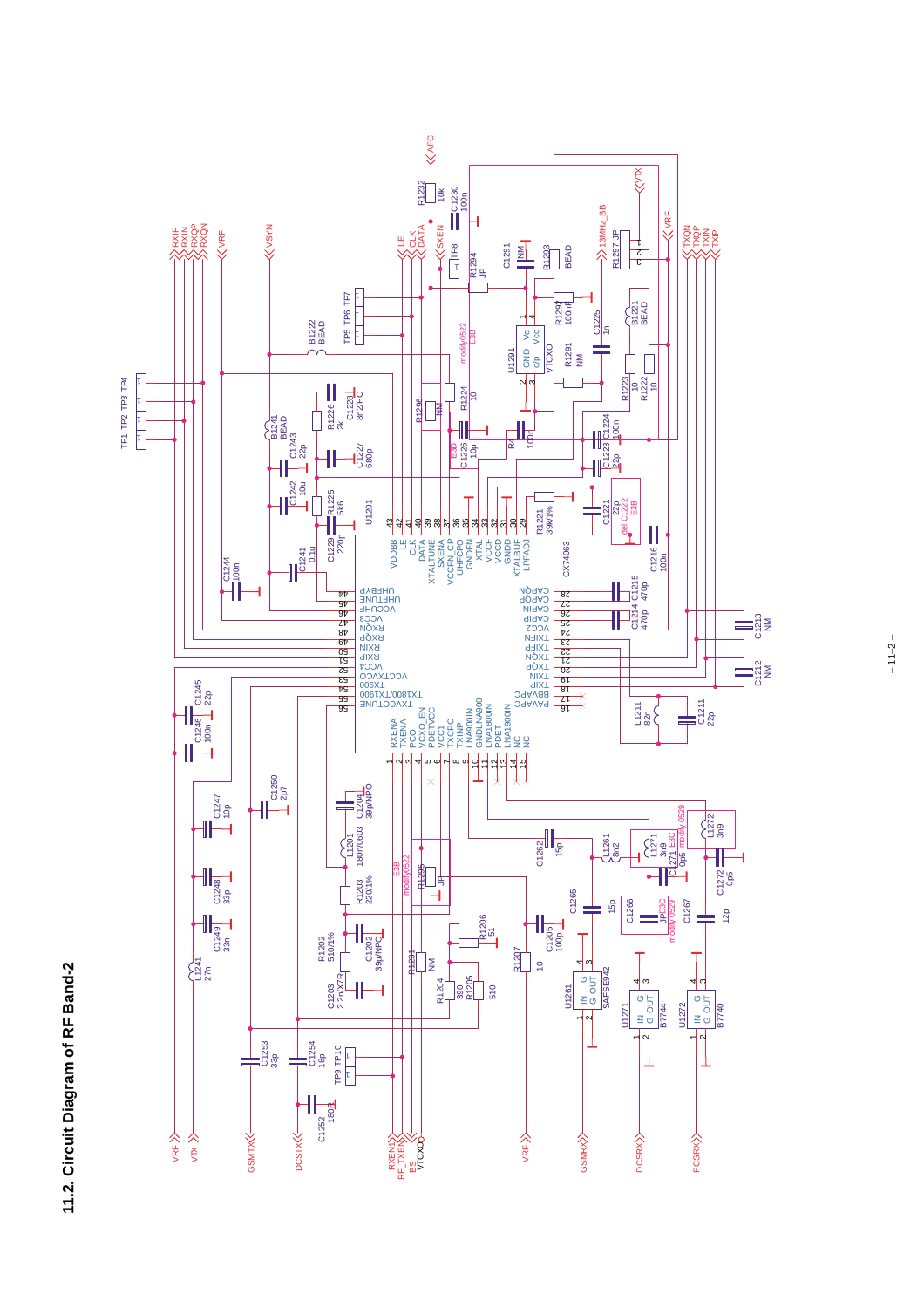

 $-11-2-$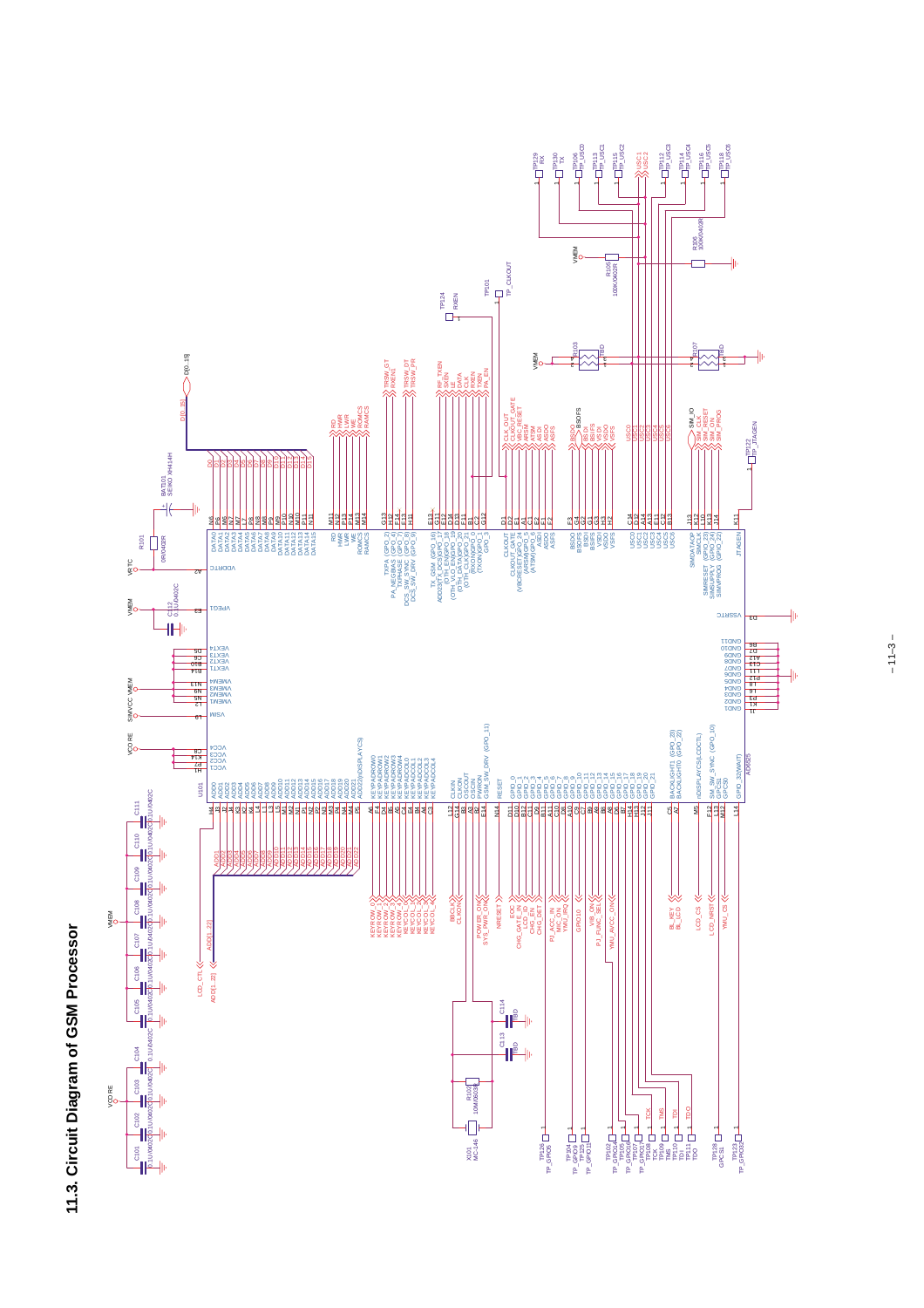

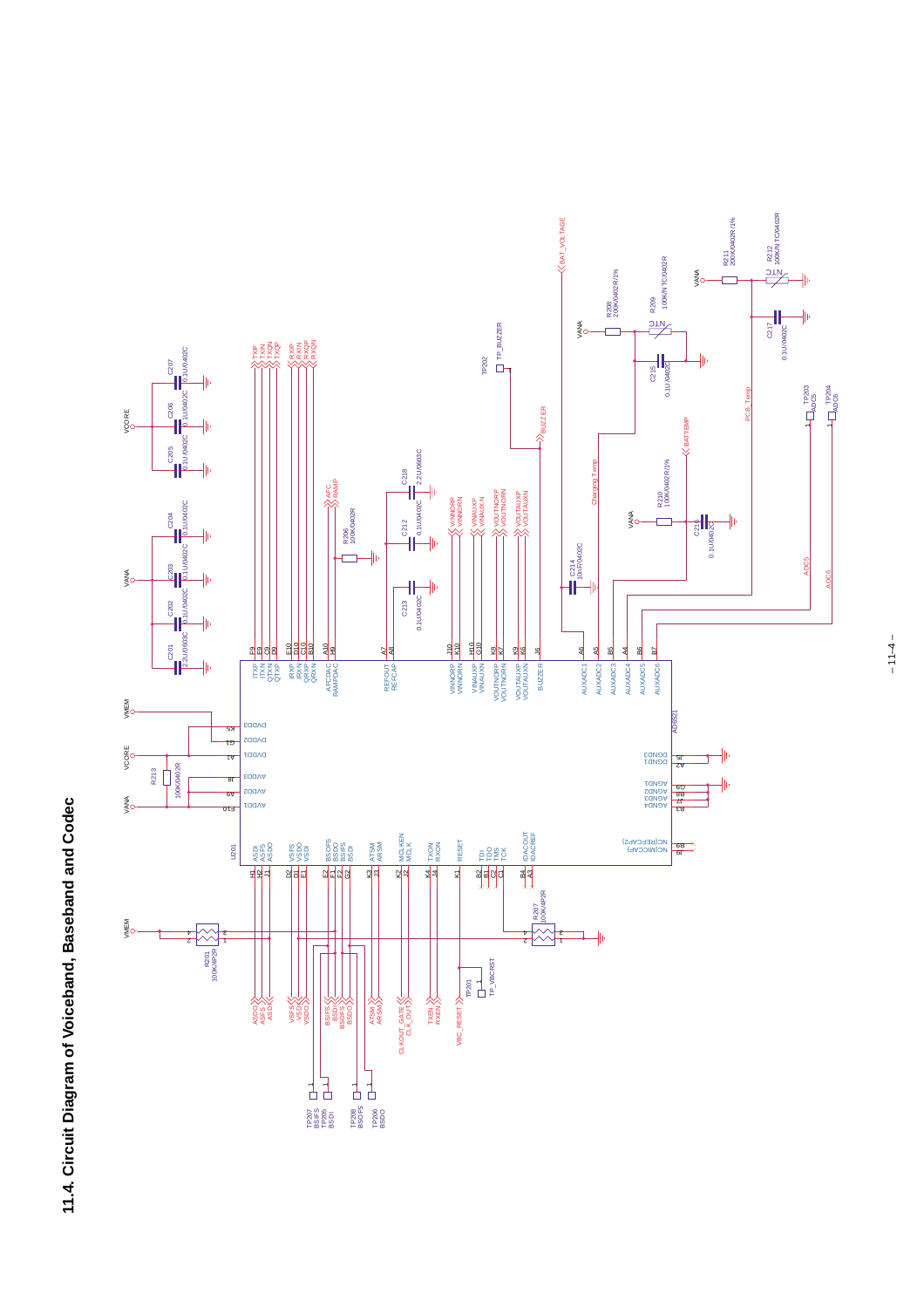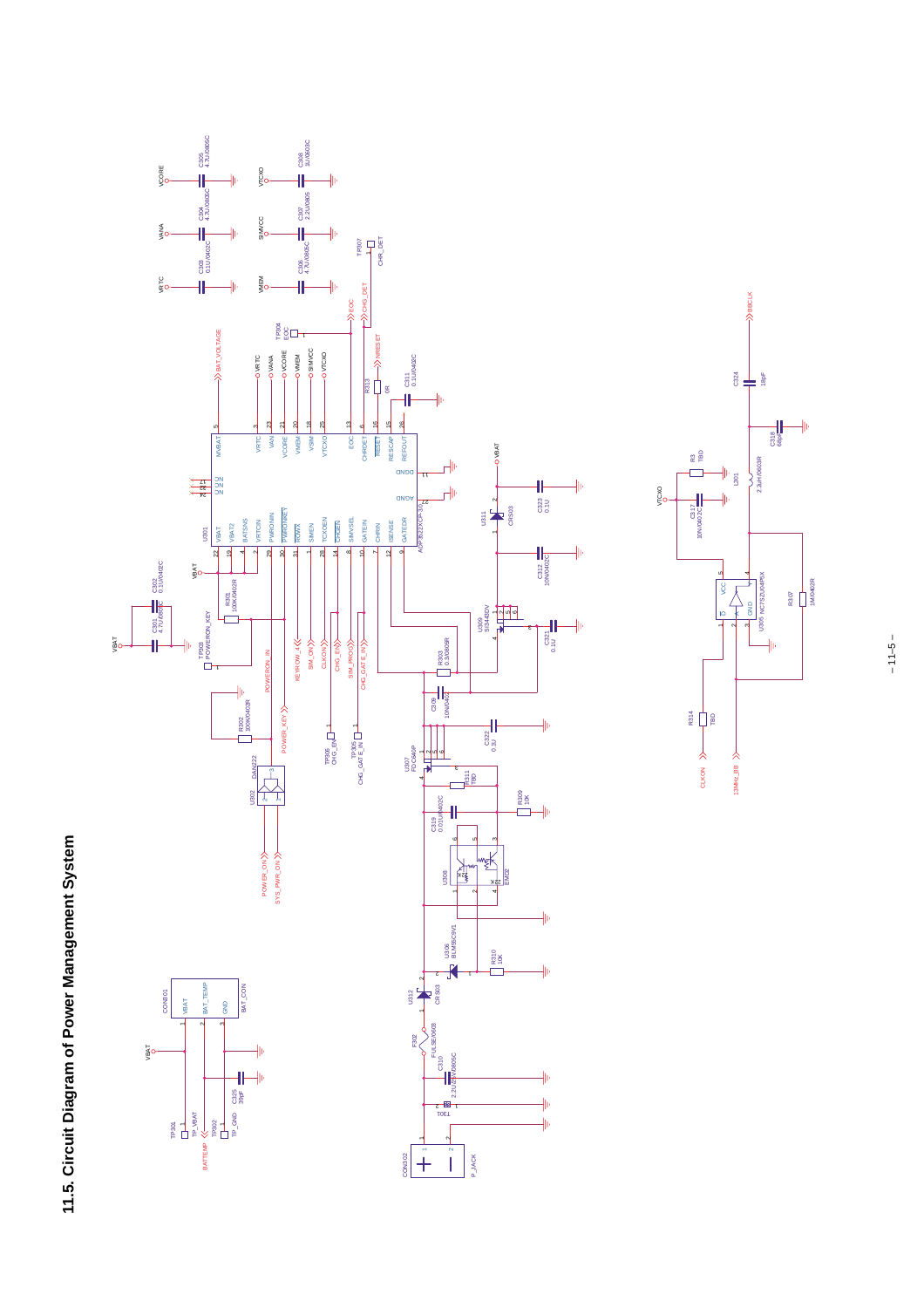



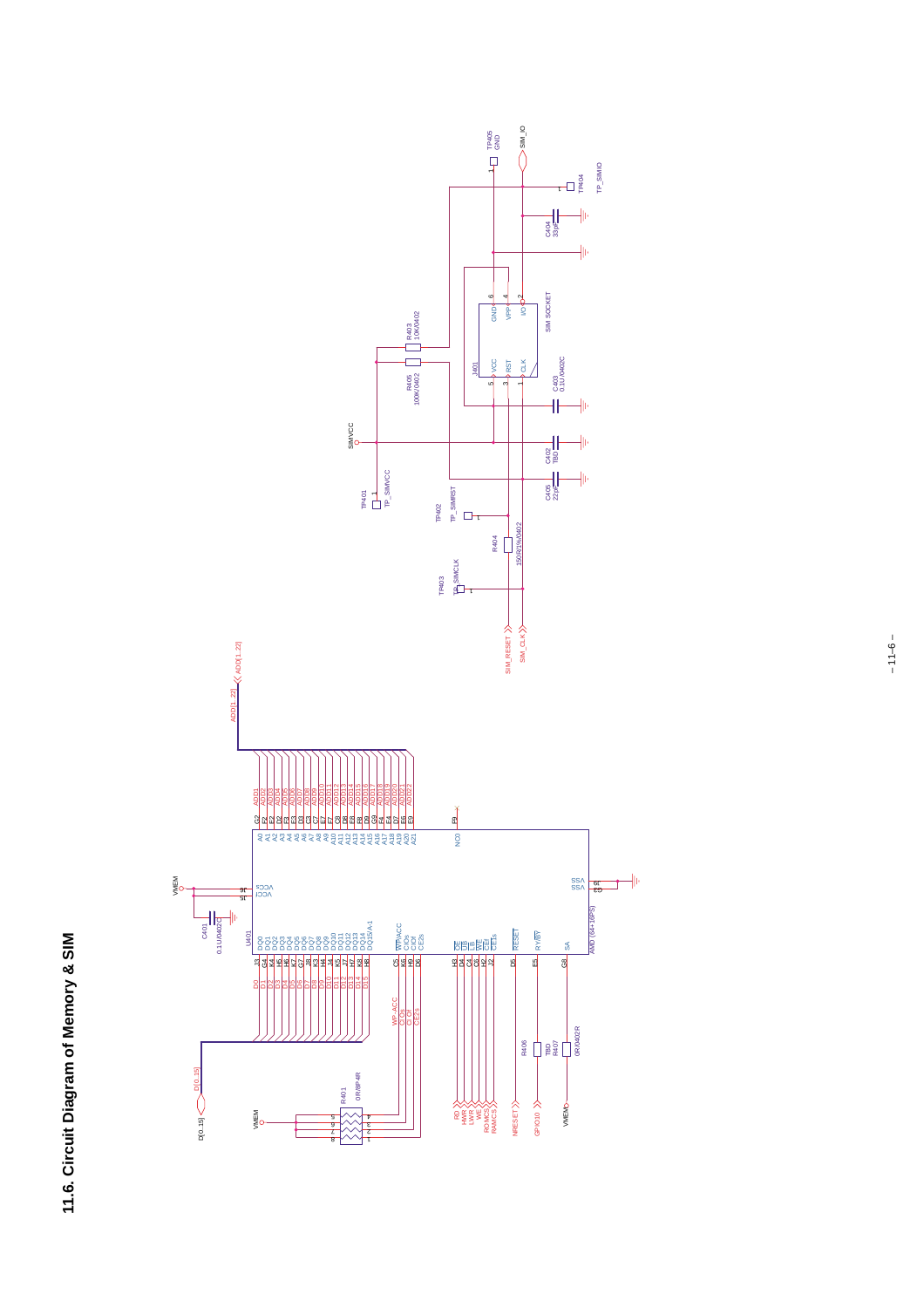

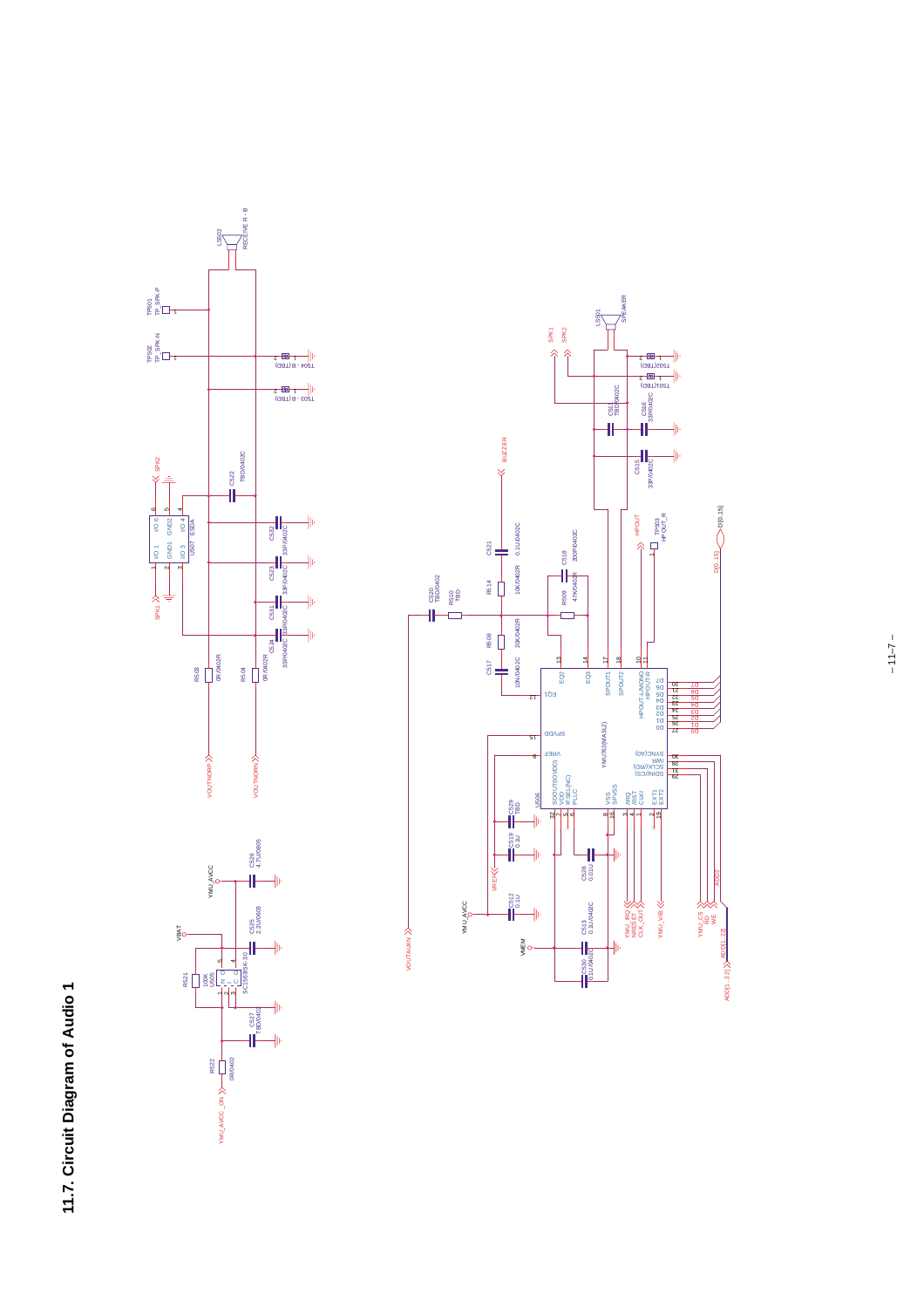

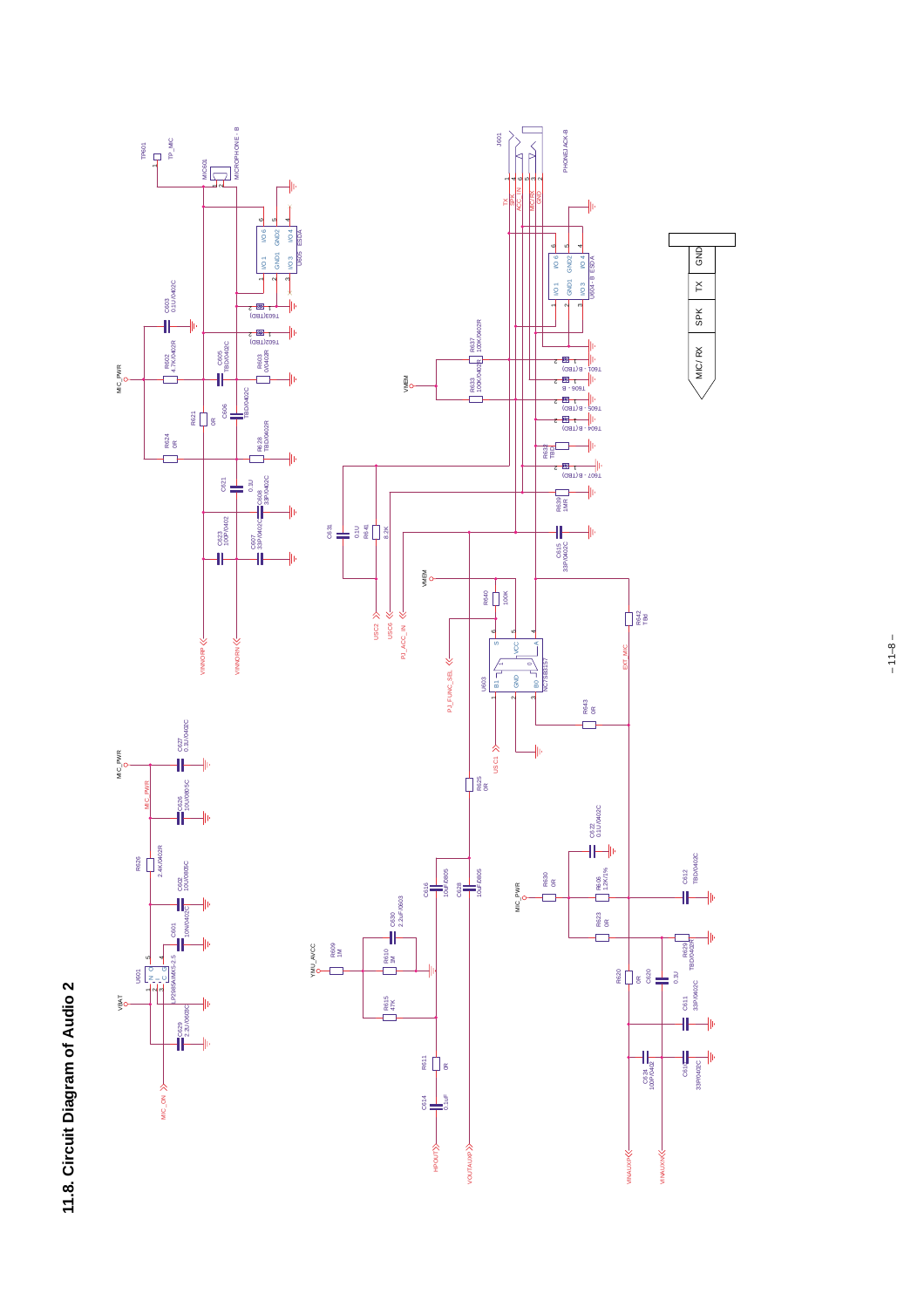

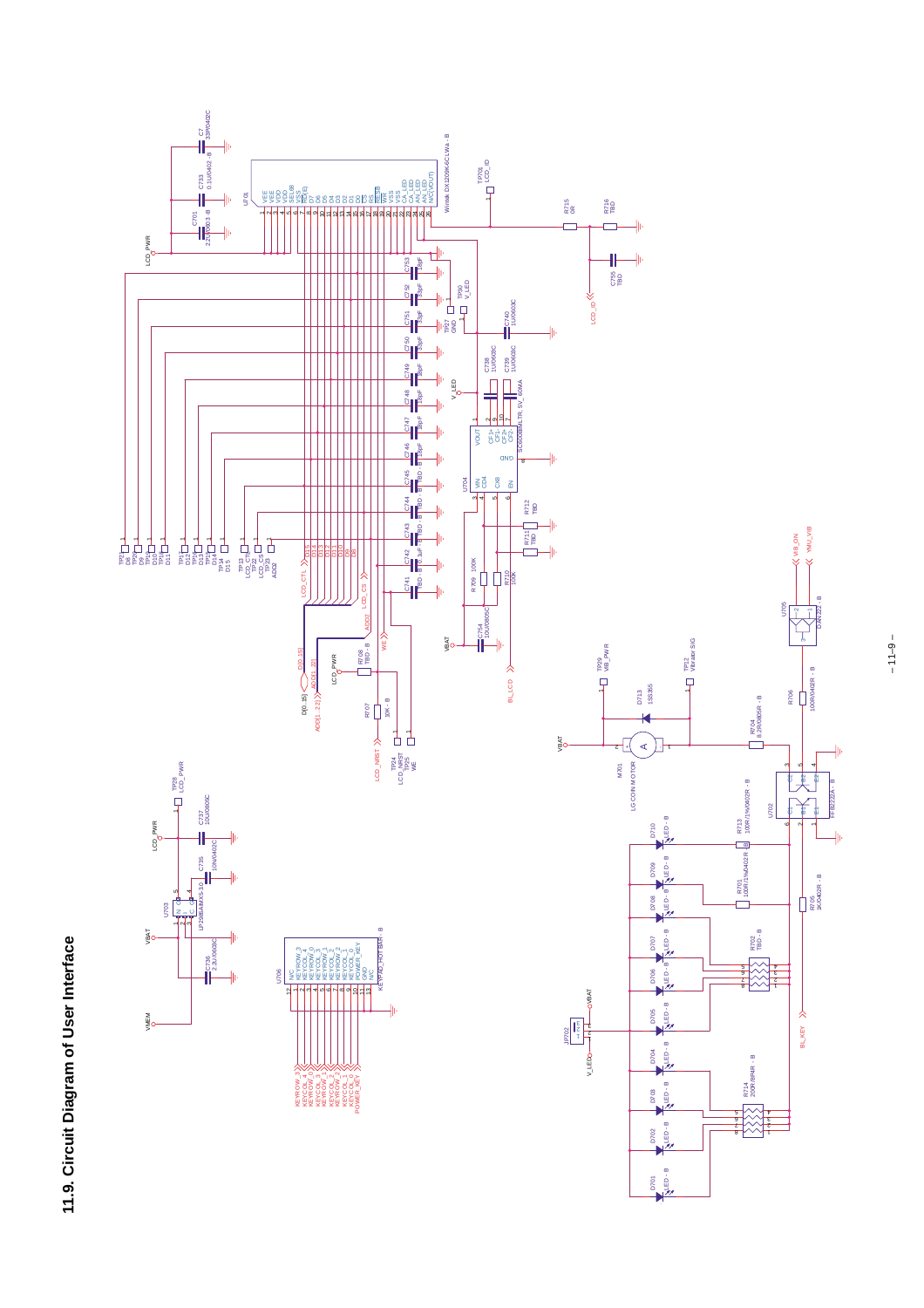

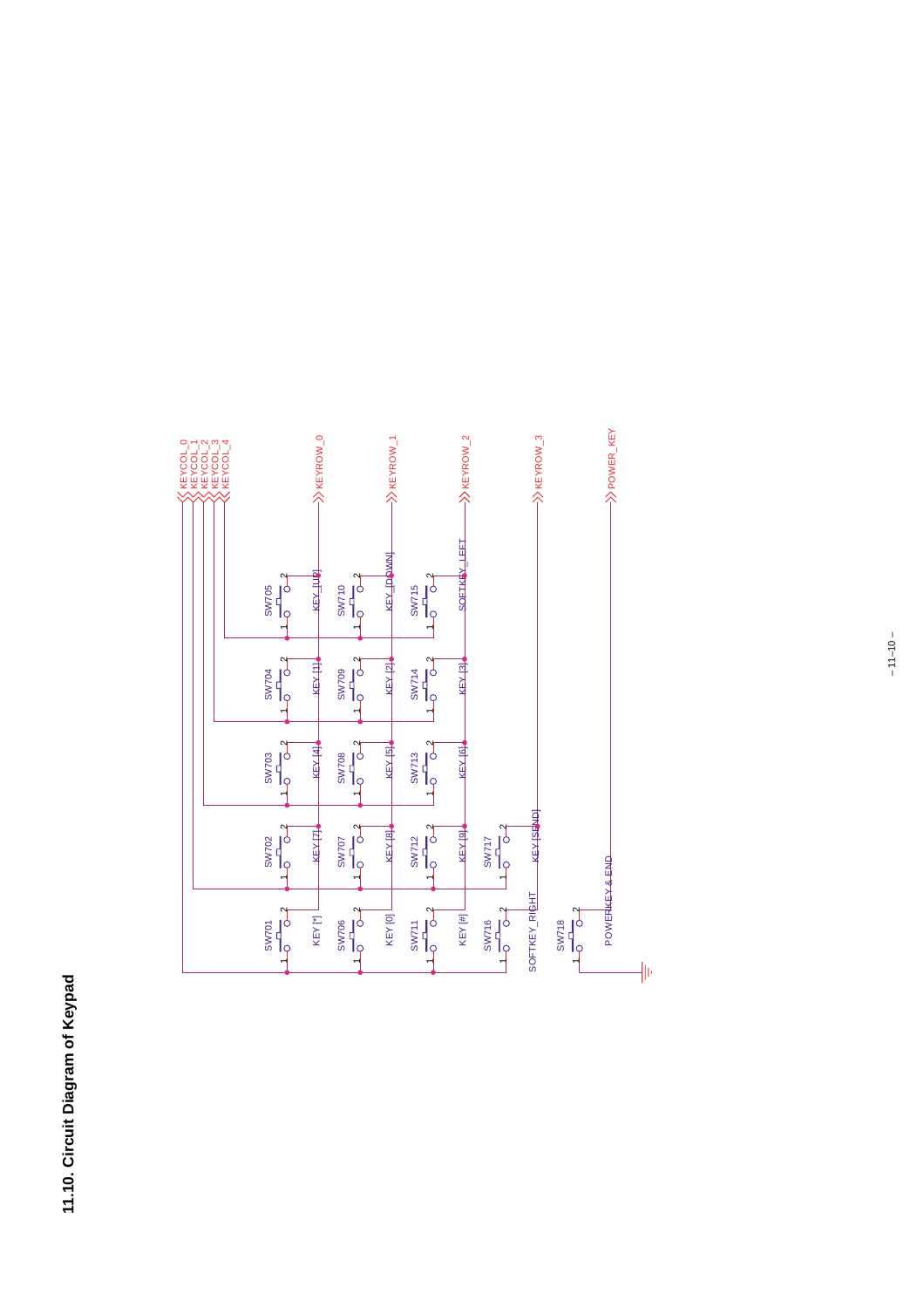